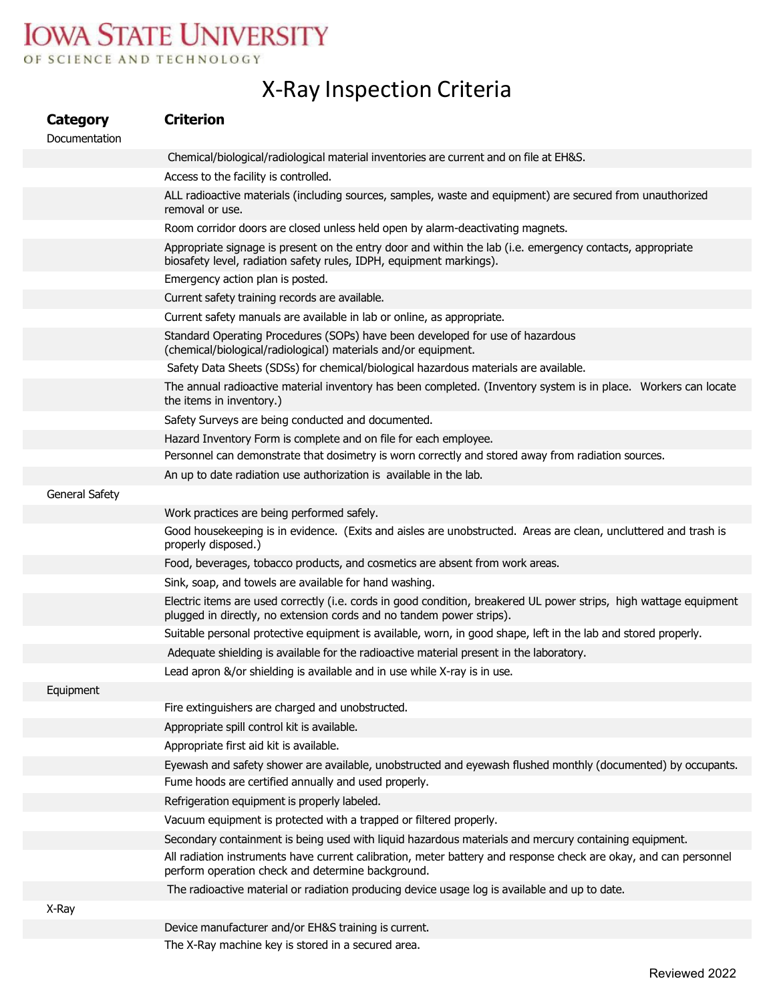## **IOWA STATE UNIVERSITY** OF SCIENCE AND TECHNOLOGY

## X‐Ray Inspection Criteria

| Category<br>Documentation | <b>Criterion</b>                                                                                                                                                                           |
|---------------------------|--------------------------------------------------------------------------------------------------------------------------------------------------------------------------------------------|
|                           | Chemical/biological/radiological material inventories are current and on file at EH&S.                                                                                                     |
|                           | Access to the facility is controlled.                                                                                                                                                      |
|                           | ALL radioactive materials (including sources, samples, waste and equipment) are secured from unauthorized<br>removal or use.                                                               |
|                           | Room corridor doors are closed unless held open by alarm-deactivating magnets.                                                                                                             |
|                           | Appropriate signage is present on the entry door and within the lab (i.e. emergency contacts, appropriate<br>biosafety level, radiation safety rules, IDPH, equipment markings).           |
|                           | Emergency action plan is posted.                                                                                                                                                           |
|                           | Current safety training records are available.                                                                                                                                             |
|                           | Current safety manuals are available in lab or online, as appropriate.                                                                                                                     |
|                           | Standard Operating Procedures (SOPs) have been developed for use of hazardous<br>(chemical/biological/radiological) materials and/or equipment.                                            |
|                           | Safety Data Sheets (SDSs) for chemical/biological hazardous materials are available.                                                                                                       |
|                           | The annual radioactive material inventory has been completed. (Inventory system is in place. Workers can locate<br>the items in inventory.)                                                |
|                           | Safety Surveys are being conducted and documented.                                                                                                                                         |
|                           | Hazard Inventory Form is complete and on file for each employee.                                                                                                                           |
|                           | Personnel can demonstrate that dosimetry is worn correctly and stored away from radiation sources.                                                                                         |
|                           | An up to date radiation use authorization is available in the lab.                                                                                                                         |
| <b>General Safety</b>     |                                                                                                                                                                                            |
|                           | Work practices are being performed safely.                                                                                                                                                 |
|                           | Good housekeeping is in evidence. (Exits and aisles are unobstructed. Areas are clean, uncluttered and trash is<br>properly disposed.)                                                     |
|                           | Food, beverages, tobacco products, and cosmetics are absent from work areas.                                                                                                               |
|                           | Sink, soap, and towels are available for hand washing.                                                                                                                                     |
|                           | Electric items are used correctly (i.e. cords in good condition, breakered UL power strips, high wattage equipment<br>plugged in directly, no extension cords and no tandem power strips). |
|                           | Suitable personal protective equipment is available, worn, in good shape, left in the lab and stored properly.                                                                             |
|                           | Adequate shielding is available for the radioactive material present in the laboratory.                                                                                                    |
|                           | Lead apron &/or shielding is available and in use while X-ray is in use.                                                                                                                   |
| Equipment                 |                                                                                                                                                                                            |
|                           | Fire extinguishers are charged and unobstructed.                                                                                                                                           |
|                           | Appropriate spill control kit is available.                                                                                                                                                |
|                           | Appropriate first aid kit is available.                                                                                                                                                    |
|                           | Eyewash and safety shower are available, unobstructed and eyewash flushed monthly (documented) by occupants.                                                                               |
|                           | Fume hoods are certified annually and used properly.                                                                                                                                       |
|                           | Refrigeration equipment is properly labeled.                                                                                                                                               |
|                           | Vacuum equipment is protected with a trapped or filtered properly.                                                                                                                         |
|                           | Secondary containment is being used with liquid hazardous materials and mercury containing equipment.                                                                                      |
|                           | All radiation instruments have current calibration, meter battery and response check are okay, and can personnel<br>perform operation check and determine background.                      |
|                           | The radioactive material or radiation producing device usage log is available and up to date.                                                                                              |
| X-Ray                     |                                                                                                                                                                                            |
|                           | Device manufacturer and/or EH&S training is current.                                                                                                                                       |
|                           | The X-Ray machine key is stored in a secured area.                                                                                                                                         |